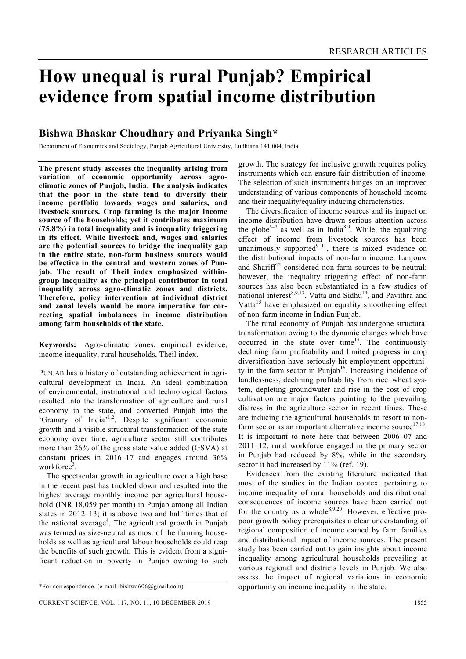# **How unequal is rural Punjab? Empirical evidence from spatial income distribution**

# **Bishwa Bhaskar Choudhary and Priyanka Singh\***

Department of Economics and Sociology, Punjab Agricultural University, Ludhiana 141 004, India

**The present study assesses the inequality arising from variation of economic opportunity across agroclimatic zones of Punjab, India. The analysis indicates that the poor in the state tend to diversify their income portfolio towards wages and salaries, and livestock sources. Crop farming is the major income source of the households; yet it contributes maximum (75.8%) in total inequality and is inequality triggering in its effect. While livestock and, wages and salaries are the potential sources to bridge the inequality gap in the entire state, non-farm business sources would be effective in the central and western zones of Punjab. The result of Theil index emphasized withingroup inequality as the principal contributor in total inequality across agro-climatic zones and districts. Therefore, policy intervention at individual district and zonal levels would be more imperative for correcting spatial imbalances in income distribution among farm households of the state.** 

**Keywords:** Agro-climatic zones, empirical evidence, income inequality, rural households, Theil index.

PUNJAB has a history of outstanding achievement in agricultural development in India. An ideal combination of environmental, institutional and technological factors resulted into the transformation of agriculture and rural economy in the state, and converted Punjab into the 'Granary of India'1,2. Despite significant economic growth and a visible structural transformation of the state economy over time, agriculture sector still contributes more than 26% of the gross state value added (GSVA) at constant prices in 2016–17 and engages around 36% workforce<sup>3</sup>.

 The spectacular growth in agriculture over a high base in the recent past has trickled down and resulted into the highest average monthly income per agricultural household (INR 18,059 per month) in Punjab among all Indian states in 2012–13; it is above two and half times that of the national average<sup>4</sup>. The agricultural growth in Punjab was termed as size-neutral as most of the farming households as well as agricultural labour households could reap the benefits of such growth. This is evident from a significant reduction in poverty in Punjab owning to such

growth. The strategy for inclusive growth requires policy instruments which can ensure fair distribution of income. The selection of such instruments hinges on an improved understanding of various components of household income and their inequality/equality inducing characteristics.

 The diversification of income sources and its impact on income distribution have drawn serious attention across the globe<sup>5-7</sup> as well as in India<sup>8,9</sup>. While, the equalizing effect of income from livestock sources has been unanimously supported $9-11$ , there is mixed evidence on the distributional impacts of non-farm income. Lanjouw and Shariff<sup>12</sup> considered non-farm sources to be neutral; however, the inequality triggering effect of non-farm sources has also been substantiated in a few studies of national interest<sup>8,9,13</sup>. Vatta and Sidhu<sup>14</sup>, and Pavithra and Vatta<sup>15</sup> have emphasized on equality smoothening effect of non-farm income in Indian Punjab.

 The rural economy of Punjab has undergone structural transformation owing to the dynamic changes which have occurred in the state over time<sup>15</sup>. The continuously declining farm profitability and limited progress in crop diversification have seriously hit employment opportunity in the farm sector in Punjab<sup>16</sup>. Increasing incidence of landlessness, declining profitability from rice–wheat system, depleting groundwater and rise in the cost of crop cultivation are major factors pointing to the prevailing distress in the agriculture sector in recent times. These are inducing the agricultural households to resort to nonfarm sector as an important alternative income source $17,18$ . It is important to note here that between 2006–07 and 2011–12, rural workforce engaged in the primary sector in Punjab had reduced by 8%, while in the secondary sector it had increased by 11% (ref. 19).

 Evidences from the existing literature indicated that most of the studies in the Indian context pertaining to income inequality of rural households and distributional consequences of income sources have been carried out for the country as a whole  $8,9,20$ . However, effective propoor growth policy prerequisites a clear understanding of regional composition of income earned by farm families and distributional impact of income sources. The present study has been carried out to gain insights about income inequality among agricultural households prevailing at various regional and districts levels in Punjab. We also assess the impact of regional variations in economic opportunity on income inequality in the state.

<sup>\*</sup>For correspondence. (e-mail: bishwa606@gmail.com)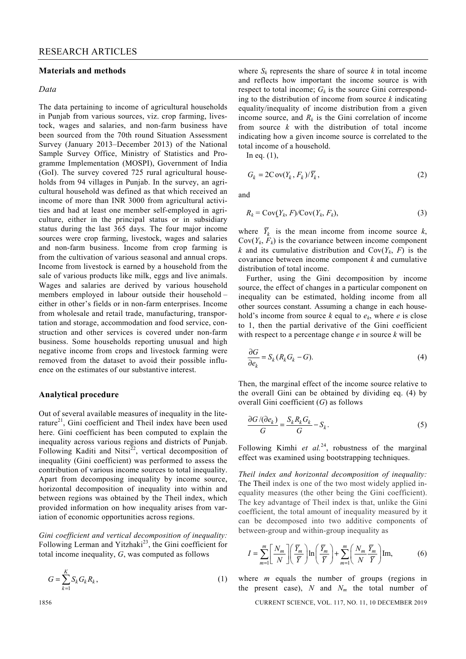#### **Materials and methods**

#### *Data*

The data pertaining to income of agricultural households in Punjab from various sources, viz. crop farming, livestock, wages and salaries, and non-farm business have been sourced from the 70th round Situation Assessment Survey (January 2013–December 2013) of the National Sample Survey Office, Ministry of Statistics and Programme Implementation (MOSPI), Government of India (GoI). The survey covered 725 rural agricultural households from 94 villages in Punjab. In the survey, an agricultural household was defined as that which received an income of more than INR 3000 from agricultural activities and had at least one member self-employed in agriculture, either in the principal status or in subsidiary status during the last 365 days. The four major income sources were crop farming, livestock, wages and salaries and non-farm business. Income from crop farming is from the cultivation of various seasonal and annual crops. Income from livestock is earned by a household from the sale of various products like milk, eggs and live animals. Wages and salaries are derived by various household members employed in labour outside their household – either in other's fields or in non-farm enterprises. Income from wholesale and retail trade, manufacturing, transportation and storage, accommodation and food service, construction and other services is covered under non-farm business. Some households reporting unusual and high negative income from crops and livestock farming were removed from the dataset to avoid their possible influence on the estimates of our substantive interest.

#### **Analytical procedure**

Out of several available measures of inequality in the literature $^{21}$ , Gini coefficient and Theil index have been used here. Gini coefficient has been computed to explain the inequality across various regions and districts of Punjab. Following Kaditi and Nitsi $^{22}$ , vertical decomposition of inequality (Gini coefficient) was performed to assess the contribution of various income sources to total inequality. Apart from decomposing inequality by income source, horizontal decomposition of inequality into within and between regions was obtained by the Theil index, which provided information on how inequality arises from variation of economic opportunities across regions.

*Gini coefficient and vertical decomposition of inequality:* Following Lerman and Yitzhaki<sup>23</sup>, the Gini coefficient for total income inequality, *G*, was computed as follows

$$
G = \sum_{k=1}^{K} S_k G_k R_k, \qquad (1)
$$

where  $S_k$  represents the share of source  $k$  in total income and reflects how important the income source is with respect to total income;  $G_k$  is the source Gini corresponding to the distribution of income from source *k* indicating equality/inequality of income distribution from a given income source, and  $R_k$  is the Gini correlation of income from source *k* with the distribution of total income indicating how a given income source is correlated to the total income of a household.

In eq. (1),

$$
G_k = 2\text{Cov}(Y_k, F_k)/\overline{Y}_k, \qquad (2)
$$

and

$$
R_k = \text{Cov}(Y_k, F) / \text{Cov}(Y_k, F_k),\tag{3}
$$

where  $\overline{Y}_k$  is the mean income from income source *k*,  $Cov(Y_k, F_k)$  is the covariance between income component *k* and its cumulative distribution and  $Cov(Y_k, F)$  is the covariance between income component *k* and cumulative distribution of total income.

 Further, using the Gini decomposition by income source, the effect of changes in a particular component on inequality can be estimated, holding income from all other sources constant. Assuming a change in each household's income from source  $k$  equal to  $e_k$ , where  $e$  is close to 1, then the partial derivative of the Gini coefficient with respect to a percentage change *e* in source *k* will be

$$
\frac{\partial G}{\partial e_k} = S_k (R_k G_k - G). \tag{4}
$$

Then, the marginal effect of the income source relative to the overall Gini can be obtained by dividing eq. (4) by overall Gini coefficient (*G*) as follows

$$
\frac{\partial G}{\partial e_k} = \frac{S_k R_k G_k}{G} - S_k. \tag{5}
$$

Following Kimhi et al.<sup>24</sup>, robustness of the marginal effect was examined using bootstrapping techniques.

*Theil index and horizontal decomposition of inequality:* The Theil index is one of the two most widely applied inequality measures (the other being the Gini coefficient). The key advantage of Theil index is that, unlike the Gini coefficient, the total amount of inequality measured by it can be decomposed into two additive components of between-group and within-group inequality as

$$
I = \sum_{m=1}^{m} \left[ \frac{N_m}{N} \right] \left( \frac{\overline{Y}_m}{\overline{Y}} \right) \ln \left( \frac{\overline{Y}_m}{\overline{Y}} \right) + \sum_{m=1}^{m} \left( \frac{N_m}{N} \frac{\overline{Y}_m}{\overline{Y}} \right) \text{Im},\tag{6}
$$

where *m* equals the number of groups (regions in the present case),  $N$  and  $N_m$  the total number of

1856 CURRENT SCIENCE, VOL. 117, NO. 11, 10 DECEMBER 2019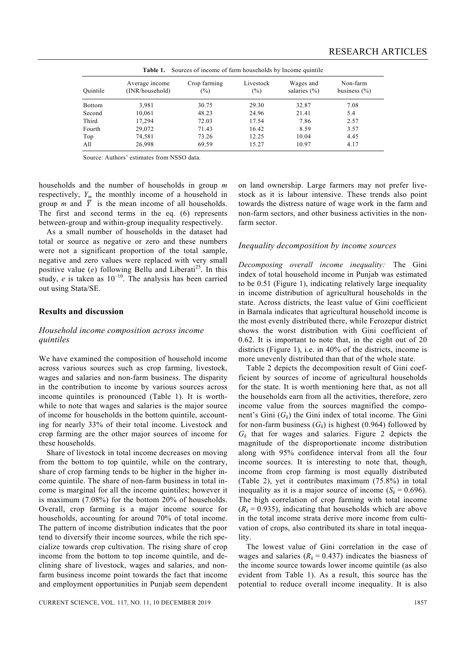| <b>Table 1.</b> Sources of income of farm households by Income quintile |                                   |                        |                     |                               |                              |  |
|-------------------------------------------------------------------------|-----------------------------------|------------------------|---------------------|-------------------------------|------------------------------|--|
| Ouintile                                                                | Average income<br>(INR/household) | Crop farming<br>$(\%)$ | Livestock<br>$(\%)$ | Wages and<br>salaries $(\% )$ | Non-farm<br>business $(\% )$ |  |
| <b>Bottom</b>                                                           | 3.981                             | 30.75                  | 29.30               | 32.87                         | 7.08                         |  |
| Second                                                                  | 10,061                            | 48.23                  | 24.96               | 21.41                         | 5.4                          |  |
| Third                                                                   | 17,294                            | 72.03                  | 17.54               | 7.86                          | 2.57                         |  |
| Fourth                                                                  | 29,072                            | 71.43                  | 16.42               | 8.59                          | 3.57                         |  |
| Top                                                                     | 74,581                            | 73.26                  | 12.25               | 10.04                         | 4.45                         |  |
| All                                                                     | 26,998                            | 69.59                  | 15.27               | 10.97                         | 4.17                         |  |

Source: Authors' estimates from NSSO data.

households and the number of households in group *m* respectively,  $Y_m$  the monthly income of a household in group *m* and  $\overline{Y}$  is the mean income of all households. The first and second terms in the eq. (6) represents between-group and within-group inequality respectively.

 As a small number of households in the dataset had total or source as negative or zero and these numbers were not a significant proportion of the total sample, negative and zero values were replaced with very small positive value  $(e)$  following Bellu and Liberati<sup>25</sup>. In this study,  $e$  is taken as  $10^{-10}$ . The analysis has been carried out using Stata/SE.

## **Results and discussion**

## *Household income composition across income quintiles*

We have examined the composition of household income across various sources such as crop farming, livestock, wages and salaries and non-farm business. The disparity in the contribution to income by various sources across income quintiles is pronounced (Table 1). It is worthwhile to note that wages and salaries is the major source of income for households in the bottom quintile, accounting for nearly 33% of their total income. Livestock and crop farming are the other major sources of income for these households.

 Share of livestock in total income decreases on moving from the bottom to top quintile, while on the contrary, share of crop farming tends to be higher in the higher income quintile. The share of non-farm business in total income is marginal for all the income quintiles; however it is maximum (7.08%) for the bottom 20% of households. Overall, crop farming is a major income source for households, accounting for around 70% of total income. The pattern of income distribution indicates that the poor tend to diversify their income sources, while the rich specialize towards crop cultivation. The rising share of crop income from the bottom to top income quintile, and declining share of livestock, wages and salaries, and nonfarm business income point towards the fact that income and employment opportunities in Punjab seem dependent on land ownership. Large farmers may not prefer livestock as it is labour intensive. These trends also point towards the distress nature of wage work in the farm and non-farm sectors, and other business activities in the nonfarm sector.

#### *Inequality decomposition by income sources*

*Decomposing overall income inequality:* The Gini index of total household income in Punjab was estimated to be 0.51 (Figure 1), indicating relatively large inequality in income distribution of agricultural households in the state. Across districts, the least value of Gini coefficient in Barnala indicates that agricultural household income is the most evenly distributed there, while Ferozepur district shows the worst distribution with Gini coefficient of 0.62. It is important to note that, in the eight out of 20 districts (Figure 1), i.e. in 40% of the districts, income is more unevenly distributed than that of the whole state.

 Table 2 depicts the decomposition result of Gini coefficient by sources of income of agricultural households for the state. It is worth mentioning here that, as not all the households earn from all the activities, therefore, zero income value from the sources magnified the component's Gini  $(G_k)$  the Gini index of total income. The Gini for non-farm business  $(G_k)$  is highest (0.964) followed by  $G_k$  that for wages and salaries. Figure 2 depicts the magnitude of the disproportionate income distribution along with 95% confidence interval from all the four income sources. It is interesting to note that, though, income from crop farming is most equally distributed (Table 2), yet it contributes maximum (75.8%) in total inequality as it is a major source of income  $(S_k = 0.696)$ . The high correlation of crop farming with total income  $(R_k = 0.935)$ , indicating that households which are above in the total income strata derive more income from cultivation of crops, also contributed its share in total inequality.

 The lowest value of Gini correlation in the case of wages and salaries  $(R_k = 0.437)$  indicates the biasness of the income source towards lower income quintile (as also evident from Table 1). As a result, this source has the potential to reduce overall income inequality. It is also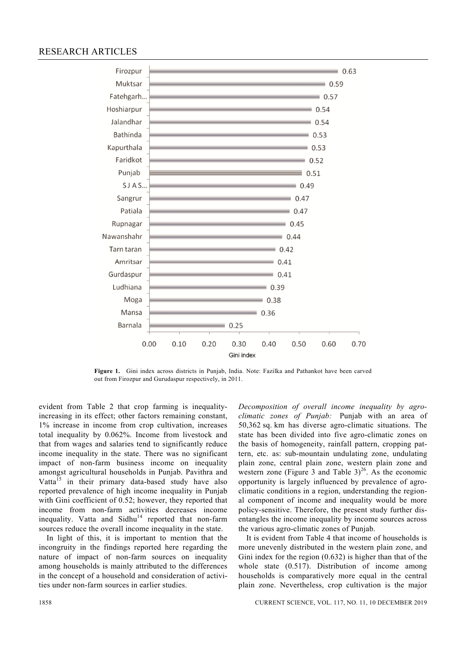# RESEARCH ARTICLES



**Figure 1.** Gini index across districts in Punjab, India. Note: Fazilka and Pathankot have been carved out from Firozpur and Gurudaspur respectively, in 2011.

evident from Table 2 that crop farming is inequalityincreasing in its effect; other factors remaining constant, 1% increase in income from crop cultivation, increases total inequality by 0.062%. Income from livestock and that from wages and salaries tend to significantly reduce income inequality in the state. There was no significant impact of non-farm business income on inequality amongst agricultural households in Punjab. Pavithra and Vatta<sup>15</sup> in their primary data-based study have also reported prevalence of high income inequality in Punjab with Gini coefficient of 0.52; however, they reported that income from non-farm activities decreases income inequality. Vatta and  $Sidhu<sup>14</sup>$  reported that non-farm sources reduce the overall income inequality in the state.

 In light of this, it is important to mention that the incongruity in the findings reported here regarding the nature of impact of non-farm sources on inequality among households is mainly attributed to the differences in the concept of a household and consideration of activities under non-farm sources in earlier studies.

*Decomposition of overall income inequality by agroclimatic zones of Punjab:* Punjab with an area of 50,362 sq. km has diverse agro-climatic situations. The state has been divided into five agro-climatic zones on the basis of homogeneity, rainfall pattern, cropping pattern, etc. as: sub-mountain undulating zone, undulating plain zone, central plain zone, western plain zone and western zone (Figure 3 and Table  $3)^{26}$ . As the economic opportunity is largely influenced by prevalence of agroclimatic conditions in a region, understanding the regional component of income and inequality would be more policy-sensitive. Therefore, the present study further disentangles the income inequality by income sources across the various agro-climatic zones of Punjab.

 It is evident from Table 4 that income of households is more unevenly distributed in the western plain zone, and Gini index for the region (0.632) is higher than that of the whole state (0.517). Distribution of income among households is comparatively more equal in the central plain zone. Nevertheless, crop cultivation is the major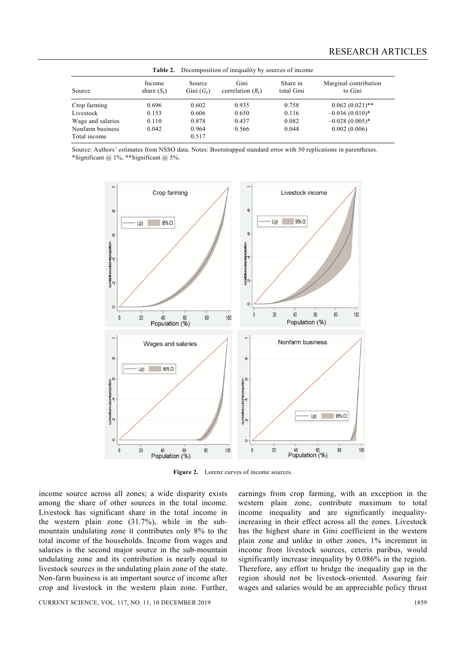|                   |                         | <b>Table 2.</b> Decomposition of inequality by sources of income |                             |                        |                                  |  |
|-------------------|-------------------------|------------------------------------------------------------------|-----------------------------|------------------------|----------------------------------|--|
| Source            | Income<br>share $(S_k)$ | Source<br>Gini $(G_k)$                                           | Gini<br>correlation $(R_k)$ | Share in<br>total Gini | Marginal contribution<br>to Gini |  |
| Crop farming      | 0.696                   | 0.602                                                            | 0.935                       | 0.758                  | $0.062(0.021)$ **                |  |
| Livestock         | 0.153                   | 0.606                                                            | 0.650                       | 0.116                  | $-0.036(0.010)*$                 |  |
| Wage and salaries | 0.110                   | 0.878                                                            | 0.437                       | 0.082                  | $-0.028(0.005)$ *                |  |
| Nonfarm business  | 0.042                   | 0.964                                                            | 0.566                       | 0.044                  | 0.002(0.006)                     |  |
| Total income      |                         | 0.517                                                            |                             |                        |                                  |  |

Source: Authors' estimates from NSSO data. Notes: Bootstrapped standard error with 50 replications in parentheses. \*Significant  $@1\%$ , \*\*Significant  $@5\%$ .



Figure 2. Lorenz curves of income sources.

income source across all zones; a wide disparity exists among the share of other sources in the total income. Livestock has significant share in the total income in the western plain zone (31.7%), while in the submountain undulating zone it contributes only 8% to the total income of the households. Income from wages and salaries is the second major source in the sub-mountain undulating zone and its contribution is nearly equal to livestock sources in the undulating plain zone of the state. Non-farm business is an important source of income after crop and livestock in the western plain zone. Further,

earnings from crop farming, with an exception in the western plain zone, contribute maximum to total income inequality and are significantly inequalityincreasing in their effect across all the zones. Livestock has the highest share in Gini coefficient in the western plain zone and unlike in other zones, 1% increment in income from livestock sources, ceteris paribus, would significantly increase inequality by 0.086% in the region. Therefore, any effort to bridge the inequality gap in the region should not be livestock-oriented. Assuring fair wages and salaries would be an appreciable policy thrust

CURRENT SCIENCE, VOL. 117, NO. 11, 10 DECEMBER 2019 1859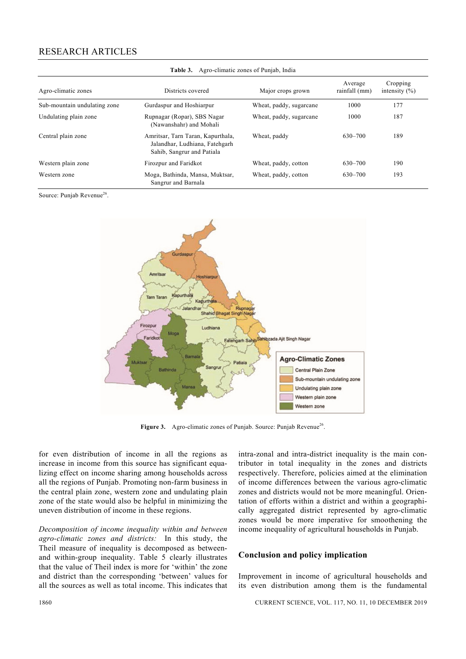# RESEARCH ARTICLES

| $\sim$ 0.0 $\sim$ 0.0 $\sim$ 0.000 $\sim$ 0.000 $\sim$ 0.000 $\sim$ 0.000 $\sim$ 0.000 $\sim$ 0.000 $\sim$ |                                                                                                   |                         |                          |                               |  |  |  |
|------------------------------------------------------------------------------------------------------------|---------------------------------------------------------------------------------------------------|-------------------------|--------------------------|-------------------------------|--|--|--|
| Agro-climatic zones                                                                                        | Districts covered                                                                                 | Major crops grown       | Average<br>rainfall (mm) | Cropping<br>intensity $(\% )$ |  |  |  |
| Sub-mountain undulating zone                                                                               | Gurdaspur and Hoshiarpur                                                                          | Wheat, paddy, sugarcane | 1000                     | 177                           |  |  |  |
| Undulating plain zone                                                                                      | Rupnagar (Ropar), SBS Nagar<br>(Nawanshahr) and Mohali                                            | Wheat, paddy, sugarcane | 1000                     | 187                           |  |  |  |
| Central plain zone                                                                                         | Amritsar, Tarn Taran, Kapurthala,<br>Jalandhar, Ludhiana, Fatehgarh<br>Sahib, Sangrur and Patiala | Wheat, paddy            | 630-700                  | 189                           |  |  |  |
| Western plain zone                                                                                         | Firozpur and Faridkot                                                                             | Wheat, paddy, cotton    | 630-700                  | 190                           |  |  |  |
| Western zone                                                                                               | Moga, Bathinda, Mansa, Muktsar,<br>Sangrur and Barnala                                            | Wheat, paddy, cotton    | 630-700                  | 193                           |  |  |  |



Source: Punjab Revenue<sup>26</sup>.



Figure 3. Agro-climatic zones of Punjab. Source: Punjab Revenue<sup>26</sup>.

for even distribution of income in all the regions as increase in income from this source has significant equalizing effect on income sharing among households across all the regions of Punjab. Promoting non-farm business in the central plain zone, western zone and undulating plain zone of the state would also be helpful in minimizing the uneven distribution of income in these regions.

*Decomposition of income inequality within and between agro-climatic zones and districts:* In this study, the Theil measure of inequality is decomposed as betweenand within-group inequality. Table 5 clearly illustrates that the value of Theil index is more for 'within' the zone and district than the corresponding 'between' values for all the sources as well as total income. This indicates that

intra-zonal and intra-district inequality is the main contributor in total inequality in the zones and districts respectively. Therefore, policies aimed at the elimination of income differences between the various agro-climatic zones and districts would not be more meaningful. Orientation of efforts within a district and within a geographically aggregated district represented by agro-climatic zones would be more imperative for smoothening the income inequality of agricultural households in Punjab.

#### **Conclusion and policy implication**

Improvement in income of agricultural households and its even distribution among them is the fundamental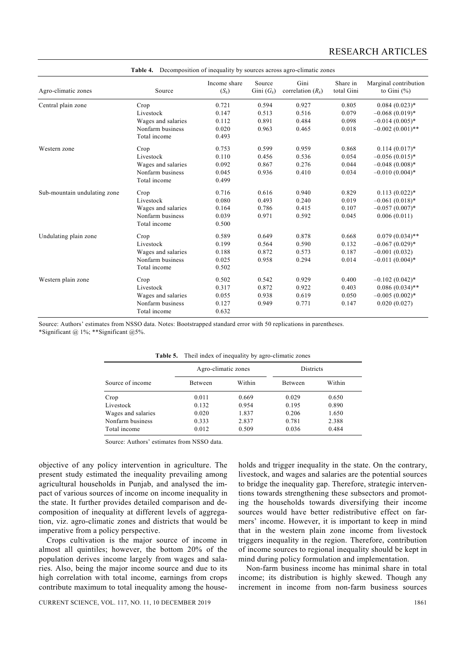| Agro-climatic zones          | Source             | Income share<br>$(S_k)$ | Source<br>Gini $(G_k)$ | Gini<br>correlation $(R_k)$ | Share in<br>total Gini | Marginal contribution<br>to Gini $(\%)$ |
|------------------------------|--------------------|-------------------------|------------------------|-----------------------------|------------------------|-----------------------------------------|
| Central plain zone           | Crop               | 0.721                   | 0.594                  | 0.927                       | 0.805                  | $0.084(0.023)*$                         |
|                              | Livestock          | 0.147                   | 0.513                  | 0.516                       | 0.079                  | $-0.068(0.019)*$                        |
|                              | Wages and salaries | 0.112                   | 0.891                  | 0.484                       | 0.098                  | $-0.014(0.005)*$                        |
|                              | Nonfarm business   | 0.020                   | 0.963                  | 0.465                       | 0.018                  | $-0.002(0.001)$ **                      |
|                              | Total income       | 0.493                   |                        |                             |                        |                                         |
| Western zone                 | Crop               | 0.753                   | 0.599                  | 0.959                       | 0.868                  | $0.114(0.017)^*$                        |
|                              | Livestock          | 0.110                   | 0.456                  | 0.536                       | 0.054                  | $-0.056(0.015)$ *                       |
|                              | Wages and salaries | 0.092                   | 0.867                  | 0.276                       | 0.044                  | $-0.048(0.008)*$                        |
|                              | Nonfarm business   | 0.045                   | 0.936                  | 0.410                       | 0.034                  | $-0.010(0.004)$ *                       |
|                              | Total income       | 0.499                   |                        |                             |                        |                                         |
| Sub-mountain undulating zone | Crop               | 0.716                   | 0.616                  | 0.940                       | 0.829                  | $0.113(0.022)*$                         |
|                              | Livestock          | 0.080                   | 0.493                  | 0.240                       | 0.019                  | $-0.061(0.018)$ *                       |
|                              | Wages and salaries | 0.164                   | 0.786                  | 0.415                       | 0.107                  | $-0.057(0.007)^*$                       |
|                              | Nonfarm business   | 0.039                   | 0.971                  | 0.592                       | 0.045                  | 0.006(0.011)                            |
|                              | Total income       | 0.500                   |                        |                             |                        |                                         |
| Undulating plain zone        | Crop               | 0.589                   | 0.649                  | 0.878                       | 0.668                  | $0.079(0.034)$ **                       |
|                              | Livestock          | 0.199                   | 0.564                  | 0.590                       | 0.132                  | $-0.067(0.029)*$                        |
|                              | Wages and salaries | 0.188                   | 0.872                  | 0.573                       | 0.187                  | $-0.001(0.032)$                         |
|                              | Nonfarm business   | 0.025                   | 0.958                  | 0.294                       | 0.014                  | $-0.011(0.004)$ *                       |
|                              | Total income       | 0.502                   |                        |                             |                        |                                         |
| Western plain zone           | Crop               | 0.502                   | 0.542                  | 0.929                       | 0.400                  | $-0.102(0.042)$ *                       |
|                              | Livestock          | 0.317                   | 0.872                  | 0.922                       | 0.403                  | $0.086(0.034)$ **                       |
|                              | Wages and salaries | 0.055                   | 0.938                  | 0.619                       | 0.050                  | $-0.005(0.002)$ *                       |
|                              | Nonfarm business   | 0.127                   | 0.949                  | 0.771                       | 0.147                  | 0.020(0.027)                            |
|                              | Total income       | 0.632                   |                        |                             |                        |                                         |

**Table 4.** Decomposition of inequality by sources across agro-climatic zones

Source: Authors' estimates from NSSO data. Notes: Bootstrapped standard error with 50 replications in parentheses. \*Significant @ 1%; \*\*Significant @5%.

|                    | $\ldots$            |        |           |        |  |  |
|--------------------|---------------------|--------|-----------|--------|--|--|
|                    | Agro-climatic zones |        | Districts |        |  |  |
| Source of income   | Between             | Within | Between   | Within |  |  |
| Crop               | 0.011               | 0.669  | 0.029     | 0.650  |  |  |
| Livestock          | 0.132               | 0.954  | 0.195     | 0.890  |  |  |
| Wages and salaries | 0.020               | 1.837  | 0.206     | 1.650  |  |  |
| Nonfarm business   | 0.333               | 2.837  | 0.781     | 2.388  |  |  |
| Total income       | 0.012               | 0.509  | 0.036     | 0.484  |  |  |

|  |  |  |  |  | <b>Table 5.</b> Theil index of inequality by agro-climatic zones |  |
|--|--|--|--|--|------------------------------------------------------------------|--|
|--|--|--|--|--|------------------------------------------------------------------|--|

Source: Authors' estimates from NSSO data.

objective of any policy intervention in agriculture. The present study estimated the inequality prevailing among agricultural households in Punjab, and analysed the impact of various sources of income on income inequality in the state. It further provides detailed comparison and decomposition of inequality at different levels of aggregation, viz. agro-climatic zones and districts that would be imperative from a policy perspective.

 Crops cultivation is the major source of income in almost all quintiles; however, the bottom 20% of the population derives income largely from wages and salaries. Also, being the major income source and due to its high correlation with total income, earnings from crops contribute maximum to total inequality among the households and trigger inequality in the state. On the contrary, livestock, and wages and salaries are the potential sources to bridge the inequality gap. Therefore, strategic interventions towards strengthening these subsectors and promoting the households towards diversifying their income sources would have better redistributive effect on farmers' income. However, it is important to keep in mind that in the western plain zone income from livestock triggers inequality in the region. Therefore, contribution of income sources to regional inequality should be kept in mind during policy formulation and implementation.

 Non-farm business income has minimal share in total income; its distribution is highly skewed. Though any increment in income from non-farm business sources